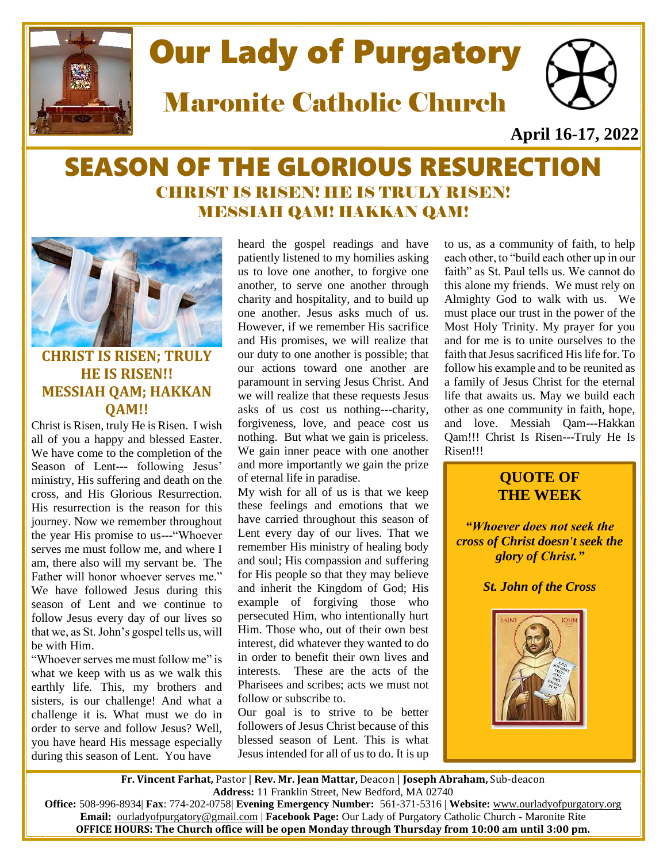

# Our Lady of Purgatory

Maronite Catholic Church



**April 16-17, 2022**

## SEASON OF THE GLORIOUS RESURECTION CHRIST IS RISEN! HE IS TRULY RISEN! MESSIAH QAM! HAKKAN QAM!



## **CHRIST IS RISEN; TRULY HE IS RISEN!! MESSIAH QAM; HAKKAN QAM!!**

Christ is Risen, truly He is Risen. I wish all of you a happy and blessed Easter. We have come to the completion of the Season of Lent--- following Jesus' ministry, His suffering and death on the cross, and His Glorious Resurrection. His resurrection is the reason for this journey. Now we remember throughout the year His promise to us---"Whoever serves me must follow me, and where I am, there also will my servant be. The Father will honor whoever serves me." We have followed Jesus during this season of Lent and we continue to follow Jesus every day of our lives so that we, as St. John's gospel tells us, will be with Him.

"Whoever serves me must follow me" is what we keep with us as we walk this earthly life. This, my brothers and sisters, is our challenge! And what a challenge it is. What must we do in order to serve and follow Jesus? Well, you have heard His message especially during this season of Lent. You have

heard the gospel readings and have patiently listened to my homilies asking us to love one another, to forgive one another, to serve one another through charity and hospitality, and to build up one another. Jesus asks much of us. However, if we remember His sacrifice and His promises, we will realize that our duty to one another is possible; that our actions toward one another are paramount in serving Jesus Christ. And we will realize that these requests Jesus asks of us cost us nothing---charity, forgiveness, love, and peace cost us nothing. But what we gain is priceless. We gain inner peace with one another and more importantly we gain the prize of eternal life in paradise.

My wish for all of us is that we keep these feelings and emotions that we have carried throughout this season of Lent every day of our lives. That we remember His ministry of healing body and soul; His compassion and suffering for His people so that they may believe and inherit the Kingdom of God; His example of forgiving those who persecuted Him, who intentionally hurt Him. Those who, out of their own best interest, did whatever they wanted to do in order to benefit their own lives and interests. These are the acts of the Pharisees and scribes; acts we must not follow or subscribe to.

Our goal is to strive to be better followers of Jesus Christ because of this blessed season of Lent. This is what Jesus intended for all of us to do. It is up

to us, as a community of faith, to help each other, to "build each other up in our faith" as St. Paul tells us. We cannot do this alone my friends. We must rely on Almighty God to walk with us. We must place our trust in the power of the Most Holy Trinity. My prayer for you and for me is to unite ourselves to the faith that Jesus sacrificed His life for. To follow his example and to be reunited as a family of Jesus Christ for the eternal life that awaits us. May we build each other as one community in faith, hope, and love. Messiah Qam---Hakkan Qam!!! Christ Is Risen---Truly He Is Risen!!!

## **QUOTE OF THE WEEK**

*"Whoever does not seek the cross of Christ doesn't seek the glory of Christ."*

*St. John of the Cross*



 **Fr. Vincent Farhat,** Pastor | **Rev. Mr. Jean Mattar,** Deacon | **Joseph Abraham,** Sub-deacon **Address:** 11 Franklin Street, New Bedford, MA 02740

**Office:** 508-996-8934| **Fax**: 774-202-0758| **Evening Emergency Number:** 561-371-5316 | **Website:** [www.ourladyofpurgatory.org](http://www.ourladyofpurgatory.org/) **Email:** [ourladyofpurgatory@gmail.com](mailto:ourladyofpurgatory@verizon.net) | **Facebook Page:** Our Lady of Purgatory Catholic Church - Maronite Rite **OFFICE HOURS: The Church office will be open Monday through Thursday from 10:00 am until 3:00 pm.**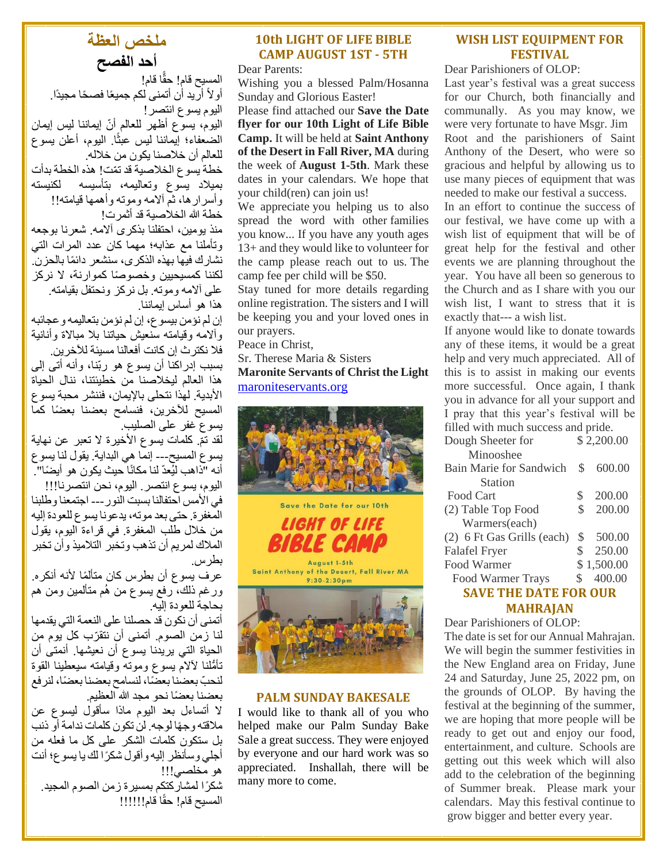## **ملخص العظة أحد الفصح**

المسيح قام! حقًّا قام! أولاً أريد أن أتمنى لكم جميعًا فصحًا مجيدًا. اليوم يسوع انتصر! اليوم، يسوع أظهر للعالم أنّ إيماننا ليس إيمان الضعفاء؛ إيماننا ليس عبثًا. اليوم، أعلن يسوع للعالم أن خالصنا يكون من خالله. خطة بسوع الخلاصية قد تمّت! هذه الخطة بدأت

بميالد يسوع وتعاليمه، بتأسيسه لكنيسته وأسرارها، ثم آلامه وموته وأهمها قيامته!! خطة الله الخلاصية قد أثمر ت!

منذ يومين، احتفلنا بذكرى آلامه. شعرنا بوجعه وتأملنا مع عذابه؛ مهما كان عدد المرات التي نشارك فيها بهذه الذكرى، سنشعر دائمًا بالحزن. لكننا كمسيحيين وخصو ًصا كموارنة، ال نركز على آالمه وموته. بل نركز ونحتفل بقيامته. هذا هو أساس إيماننا.

إن لم نؤمن بيسوع، إن لم نؤمن بتعاليمه وعجائبه وألامه وقيامته سنعيش حياتنا بلا مبالاة وأنانية فال نكترث إن كانت أفعالنا مسيئة لآلخرين.

بسبب إدراكنا أن يسوع هو ربّنا، وأنه أتى إلى هذا العالم ليخالصنا من خطيئتنا، ننال الحياة األبدية. لهذا نتحلى باإليمان، فننشر محبة يسوع المسيح للأخرين، فنسامح بعضنا بعضًا كما يسوع غفر على الصليب.

لقد تمّ. كلمات يسوع الأخيرة لا تعبر عن نـهاية يسوع المسيح--- إنما هي البداية. يقول لنا يسوع أنه "ذاهب لبُعدّ لنا مكانًا حيث بكون هو أبضًا". اليوم، يسوع انتصر. اليوم، نحن انتصرنا!!! في الأمس احتفالنا بسبت النور --- اجتمعنا وطلبنا المغفرة. حتى بعد موته، يدعونا يسوع للعودة إليه من خالل طلب المغفرة. في قراءة اليوم، يقول المالك لمريم أن تذهب وتخبر التالميذ وأن تخبر بطرس.

عرف يسوع أن بطرس كان متألمًا لأنه أنكره. ورغم ذلك، رفع يسوع من هُم متألمين ومن هم بحاجة للعودة إليه.

أتمنى أن نكون قد حصلنا على النعمة التي يقدمها لنا زمن الصوم. أتمنى أن نتقرّب كل يوم من الحياة التي يريدنا يسوع أن نعيشها. أنمتى أن تأ ُّملنا آلالم يسوع وموته وقيامته سيعطينا القوة لنحبّ بعضنا بعضًا، لنسامح بعضنا بعضًا، لنرفع بعضنا بعضًا نحو مجد الله العظيم.

ال أتساءل بعد اليوم ماذا سأقول ليسوع عن مالقته وج ًها لوجه. لن تكون كلمات ندامة أو ذنب بل ستكون كلمات الشكر على كل ما فعله من أجلي وسأنظر إليه وأقول شكًرا لك يا يسوع؛ أنت هو مخلصي!!!

شكًرا لمشاركتكم بمسيرة زمن الصوم المجيد. المسيح قام! حقًا قام!!!!!!

## **10th LIGHT OF LIFE BIBLE CAMP AUGUST 1ST - 5TH**

Dear Parents:

Wishing you a blessed Palm/Hosanna Sunday and Glorious Easter!

Please find attached our **Save the Date flyer for our 10th Light of Life Bible Camp.** It will be held at **Saint Anthony of the Desert in Fall River, MA** during the week of **August 1-5th**. Mark these dates in your calendars. We hope that your child(ren) can join us!

We appreciate you helping us to also spread the word with other families you know... If you have any youth ages 13+ and they would like to volunteer for the camp please reach out to us. The camp fee per child will be \$50.

Stay tuned for more details regarding online registration. The sisters and I will be keeping you and your loved ones in our prayers.

Peace in Christ,

Sr. Therese Maria & Sisters **Maronite Servants of Christ the Light** [maroniteservants.org](http://maroniteservants.org/)





LIGHT OF LIFE

Saint Anthony of the Desert, Fall River MA  $9:30 - 2:30$ pm



## **PALM SUNDAY BAKESALE**

I would like to thank all of you who helped make our Palm Sunday Bake Sale a great success. They were enjoyed by everyone and our hard work was so appreciated. Inshallah, there will be many more to come.

## **WISH LIST EQUIPMENT FOR FESTIVAL**

Dear Parishioners of OLOP:

Last year's festival was a great success for our Church, both financially and communally. As you may know, we were very fortunate to have Msgr. Jim Root and the parishioners of Saint Anthony of the Desert, who were so gracious and helpful by allowing us to use many pieces of equipment that was needed to make our festival a success.

In an effort to continue the success of our festival, we have come up with a wish list of equipment that will be of great help for the festival and other events we are planning throughout the year. You have all been so generous to the Church and as I share with you our wish list, I want to stress that it is exactly that--- a wish list.

If anyone would like to donate towards any of these items, it would be a great help and very much appreciated. All of this is to assist in making our events more successful. Once again, I thank you in advance for all your support and I pray that this year's festival will be filled with much success and pride.

Dough Sheeter for \$2,200.00 Minooshee Bain Marie for Sandwich \$ 600.00 Station Food Cart \$ 200.00 (2) Table Top Food \$ 200.00 Warmers(each) (2) 6 Ft Gas Grills (each) \$ 500.00 Falafel Fryer \$ 250.00 Food Warmer \$ 1,500.00 Food Warmer Trays \$ 400.00 **SAVE THE DATE FOR OUR** 

## **MAHRAJAN**

Dear Parishioners of OLOP:

The date is set for our Annual Mahrajan. We will begin the summer festivities in the New England area on Friday, June 24 and Saturday, June 25, 2022 pm, on the grounds of OLOP. By having the festival at the beginning of the summer, we are hoping that more people will be ready to get out and enjoy our food, entertainment, and culture. Schools are getting out this week which will also add to the celebration of the beginning of Summer break. Please mark your calendars. May this festival continue to grow bigger and better every year.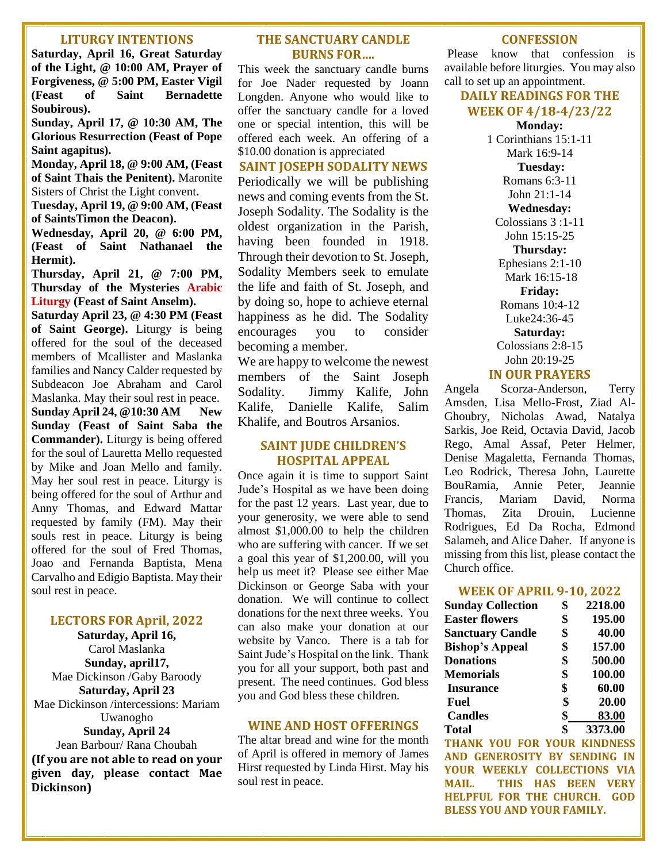#### **LITURGY INTENTIONS**

**Saturday, April 16, Great Saturday of the Light, @ 10:00 AM, Prayer of Forgiveness, @ 5:00 PM, Easter Vigil (Feast of Saint Bernadette Soubirous).** 

**Sunday, April 17, @ 10:30 AM, The Glorious Resurrection (Feast of Pope Saint agapitus).**

**Monday, April 18, @ 9:00 AM, (Feast of Saint Thais the Penitent).** Maronite Sisters of Christ the Light convent**.**

**Tuesday, April 19, @ 9:00 AM, (Feast of SaintsTimon the Deacon).**

**Wednesday, April 20, @ 6:00 PM, (Feast of Saint Nathanael the Hermit).**

**Thursday, April 21, @ 7:00 PM, Thursday of the Mysteries Arabic Liturgy (Feast of Saint Anselm).**

**Saturday April 23, @ 4:30 PM (Feast of Saint George).** Liturgy is being offered for the soul of the deceased members of Mcallister and Maslanka families and Nancy Calder requested by Subdeacon Joe Abraham and Carol Maslanka. May their soul rest in peace. **Sunday April 24, @10:30 AM New Sunday (Feast of Saint Saba the Commander).** Liturgy is being offered for the soul of Lauretta Mello requested by Mike and Joan Mello and family. May her soul rest in peace. Liturgy is being offered for the soul of Arthur and Anny Thomas, and Edward Mattar requested by family (FM). May their souls rest in peace. Liturgy is being offered for the soul of Fred Thomas, Joao and Fernanda Baptista, Mena Carvalho and Edigio Baptista. May their soul rest in peace.

#### **LECTORS FOR April, 2022**

**Saturday, April 16,** Carol Maslanka **Sunday, april17,** Mae Dickinson /Gaby Baroody **Saturday, April 23** Mae Dickinson /intercessions: Mariam Uwanogho **Sunday, April 24** Jean Barbour/ Rana Choubah **(If you are not able to read on your given day, please contact Mae** 

**Dickinson)**

#### **THE SANCTUARY CANDLE BURNS FOR….**

This week the sanctuary candle burns for Joe Nader requested by Joann Longden. Anyone who would like to offer the sanctuary candle for a loved one or special intention, this will be offered each week. An offering of a \$10.00 donation is appreciated

#### **SAINT JOSEPH SODALITY NEWS**

Periodically we will be publishing news and coming events from the St. Joseph Sodality. The Sodality is the oldest organization in the Parish, having been founded in 1918. Through their devotion to St. Joseph, Sodality Members seek to emulate the life and faith of St. Joseph, and by doing so, hope to achieve eternal happiness as he did. The Sodality encourages you to consider becoming a member.

We are happy to welcome the newest members of the Saint Joseph Sodality. Jimmy Kalife, John Kalife, Danielle Kalife, Salim Khalife, and Boutros Arsanios.

#### **SAINT JUDE CHILDREN'S HOSPITAL APPEAL**

Once again it is time to support Saint Jude's Hospital as we have been doing for the past 12 years. Last year, due to your generosity, we were able to send almost \$1,000.00 to help the children who are suffering with cancer. If we set a goal this year of \$1,200.00, will you help us meet it? Please see either Mae Dickinson or George Saba with your donation. We will continue to collect donations for the next three weeks. You can also make your donation at our website by Vanco. There is a tab for Saint Jude's Hospital on the link. Thank you for all your support, both past and present. The need continues. God bless you and God bless these children.

#### **WINE AND HOST OFFERINGS**

The altar bread and wine for the month of April is offered in memory of James Hirst requested by Linda Hirst. May his soul rest in peace.

#### **CONFESSION**

Please know that confession is available before liturgies. You may also call to set up an appointment.

#### **DAILY READINGS FOR THE WEEK OF 4/18-4/23/22**

**Monday:**  1 Corinthians 15:1-11 Mark 16:9-14 **Tuesday:**  Romans 6:3-11 John 21:1-14 **Wednesday:**  Colossians 3 :1-11 John 15:15-25 **Thursday:**  Ephesians 2:1-10 Mark 16:15-18 **Friday:**  Romans 10:4-12 Luke24:36-45 **Saturday:**  Colossians 2:8-15 John 20:19-25 **IN OUR PRAYERS** Angela Scorza-Anderson, Terry Amsden, Lisa Mello-Frost, Ziad Al-

Ghoubry, Nicholas Awad, Natalya Sarkis, Joe Reid, Octavia David, Jacob Rego, Amal Assaf, Peter Helmer, Denise Magaletta, Fernanda Thomas, Leo Rodrick, Theresa John, Laurette BouRamia, Annie Peter, Jeannie Francis, Mariam David, Norma Thomas, Zita Drouin, Lucienne Rodrigues, Ed Da Rocha, Edmond Salameh, and Alice Daher. If anyone is missing from this list, please contact the Church office.

#### **WEEK OF APRIL 9-10, 2022**

| <b>Sunday Collection</b> | \$<br>2218.00 |
|--------------------------|---------------|
| <b>Easter flowers</b>    | \$<br>195.00  |
| <b>Sanctuary Candle</b>  | \$<br>40.00   |
| <b>Bishop's Appeal</b>   | \$<br>157.00  |
| <b>Donations</b>         | \$<br>500.00  |
| <b>Memorials</b>         | \$<br>100.00  |
| <b>Insurance</b>         | \$<br>60.00   |
| Fuel                     | \$<br>20.00   |
| <b>Candles</b>           | \$<br>83.00   |
| <b>Total</b>             | \$<br>3373.00 |

**THANK YOU FOR YOUR KINDNESS AND GENEROSITY BY SENDING IN YOUR WEEKLY COLLECTIONS VIA MAIL. THIS HAS BEEN VERY HELPFUL FOR THE CHURCH. GOD BLESS YOU AND YOUR FAMILY.**